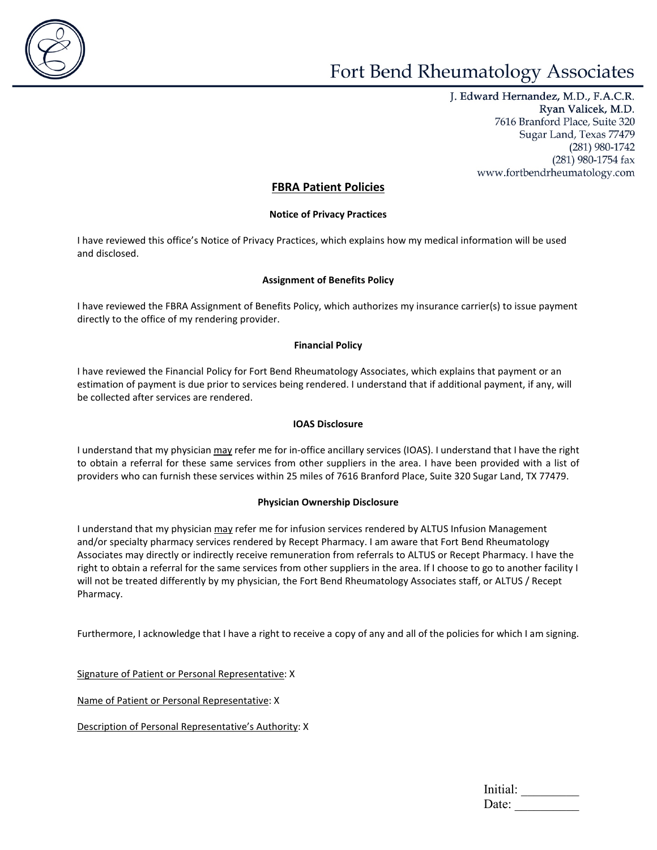

J. Edward Hernandez, M.D., F.A.C.R. Ryan Valicek, M.D. 7616 Branford Place, Suite 320 Sugar Land, Texas 77479 (281) 980-1742 (281) 980-1754 fax www.fortbendrheumatology.com

## **FBRA Patient Policies**

## **Notice of Privacy Practices**

I have reviewed this office's Notice of Privacy Practices, which explains how my medical information will be used and disclosed.

## **Assignment of Benefits Policy**

I have reviewed the FBRA Assignment of Benefits Policy, which authorizes my insurance carrier(s) to issue payment directly to the office of my rendering provider.

## **Financial Policy**

I have reviewed the Financial Policy for Fort Bend Rheumatology Associates, which explains that payment or an estimation of payment is due prior to services being rendered. I understand that if additional payment, if any, will be collected after services are rendered.

## **IOAS Disclosure**

I understand that my physician may refer me for in-office ancillary services (IOAS). I understand that I have the right to obtain a referral for these same services from other suppliers in the area. I have been provided with a list of providers who can furnish these services within 25 miles of 7616 Branford Place, Suite 320 Sugar Land, TX 77479.

## **Physician Ownership Disclosure**

I understand that my physician may refer me for infusion services rendered by ALTUS Infusion Management and/or specialty pharmacy services rendered by Recept Pharmacy. I am aware that Fort Bend Rheumatology Associates may directly or indirectly receive remuneration from referrals to ALTUS or Recept Pharmacy. I have the right to obtain a referral for the same services from other suppliers in the area. If I choose to go to another facility I will not be treated differently by my physician, the Fort Bend Rheumatology Associates staff, or ALTUS / Recept Pharmacy.

Furthermore, I acknowledge that I have a right to receive a copy of any and all of the policies for which I am signing.

Signature of Patient or Personal Representative: X

Name of Patient or Personal Representative: X

Description of Personal Representative's Authority: X

| Initial: |  |  |  |  |
|----------|--|--|--|--|
| Date:    |  |  |  |  |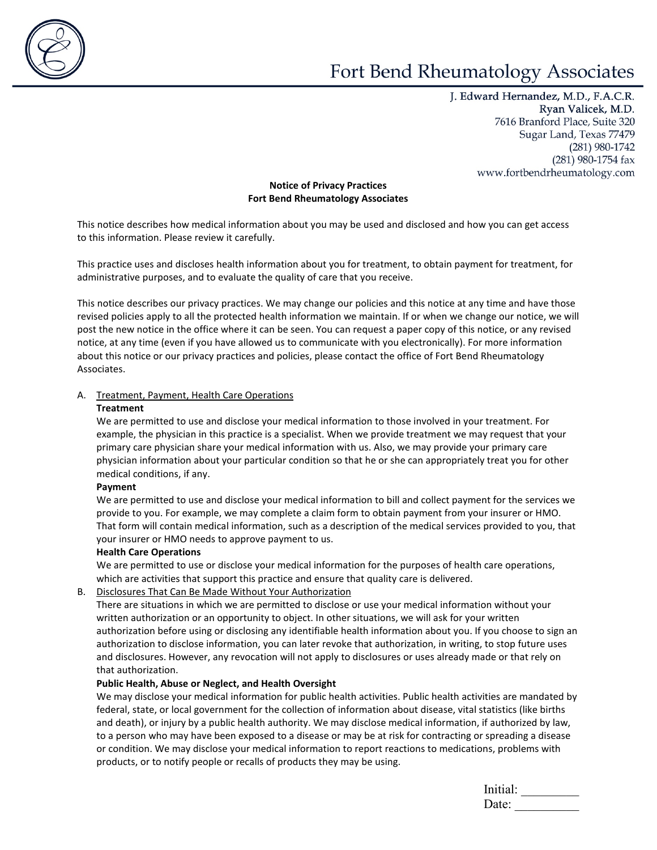

J. Edward Hernandez, M.D., F.A.C.R. Ryan Valicek, M.D. 7616 Branford Place, Suite 320 Sugar Land, Texas 77479 (281) 980-1742  $(281)$  980-1754 fax www.fortbendrheumatology.com

## **Notice of Privacy Practices Fort Bend Rheumatology Associates**

This notice describes how medical information about you may be used and disclosed and how you can get access to this information. Please review it carefully.

This practice uses and discloses health information about you for treatment, to obtain payment for treatment, for administrative purposes, and to evaluate the quality of care that you receive.

This notice describes our privacy practices. We may change our policies and this notice at any time and have those revised policies apply to all the protected health information we maintain. If or when we change our notice, we will post the new notice in the office where it can be seen. You can request a paper copy of this notice, or any revised notice, at any time (even if you have allowed us to communicate with you electronically). For more information about this notice or our privacy practices and policies, please contact the office of Fort Bend Rheumatology Associates.

## A. Treatment, Payment, Health Care Operations

#### **Treatment**

We are permitted to use and disclose your medical information to those involved in your treatment. For example, the physician in this practice is a specialist. When we provide treatment we may request that your primary care physician share your medical information with us. Also, we may provide your primary care physician information about your particular condition so that he or she can appropriately treat you for other medical conditions, if any.

#### **Payment**

We are permitted to use and disclose your medical information to bill and collect payment for the services we provide to you. For example, we may complete a claim form to obtain payment from your insurer or HMO. That form will contain medical information, such as a description of the medical services provided to you, that your insurer or HMO needs to approve payment to us.

#### **Health Care Operations**

We are permitted to use or disclose your medical information for the purposes of health care operations, which are activities that support this practice and ensure that quality care is delivered.

## B. Disclosures That Can Be Made Without Your Authorization

There are situations in which we are permitted to disclose or use your medical information without your written authorization or an opportunity to object. In other situations, we will ask for your written authorization before using or disclosing any identifiable health information about you. If you choose to sign an authorization to disclose information, you can later revoke that authorization, in writing, to stop future uses and disclosures. However, any revocation will not apply to disclosures or uses already made or that rely on that authorization.

## **Public Health, Abuse or Neglect, and Health Oversight**

We may disclose your medical information for public health activities. Public health activities are mandated by federal, state, or local government for the collection of information about disease, vital statistics (like births and death), or injury by a public health authority. We may disclose medical information, if authorized by law, to a person who may have been exposed to a disease or may be at risk for contracting or spreading a disease or condition. We may disclose your medical information to report reactions to medications, problems with products, or to notify people or recalls of products they may be using.

| Initial: |  |
|----------|--|
| Date:    |  |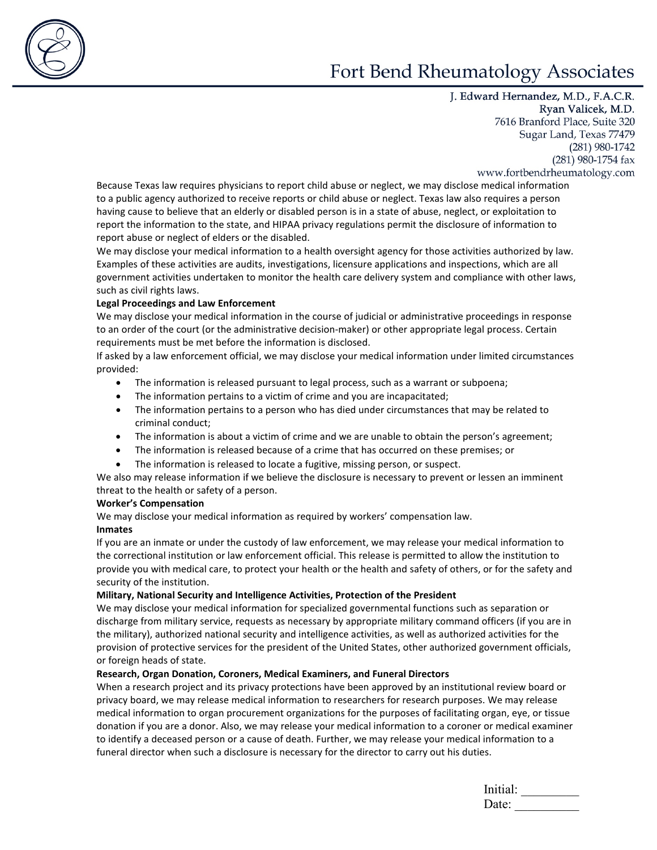

J. Edward Hernandez, M.D., F.A.C.R. Ryan Valicek, M.D. 7616 Branford Place, Suite 320 Sugar Land, Texas 77479 (281) 980-1742  $(281)$  980-1754 fax www.fortbendrheumatology.com

Because Texas law requires physicians to report child abuse or neglect, we may disclose medical information to a public agency authorized to receive reports or child abuse or neglect. Texas law also requires a person having cause to believe that an elderly or disabled person is in a state of abuse, neglect, or exploitation to report the information to the state, and HIPAA privacy regulations permit the disclosure of information to report abuse or neglect of elders or the disabled.

We may disclose your medical information to a health oversight agency for those activities authorized by law. Examples of these activities are audits, investigations, licensure applications and inspections, which are all government activities undertaken to monitor the health care delivery system and compliance with other laws, such as civil rights laws.

## **Legal Proceedings and Law Enforcement**

We may disclose your medical information in the course of judicial or administrative proceedings in response to an order of the court (or the administrative decision-maker) or other appropriate legal process. Certain requirements must be met before the information is disclosed.

If asked by a law enforcement official, we may disclose your medical information under limited circumstances provided:

- The information is released pursuant to legal process, such as a warrant or subpoena;
- The information pertains to a victim of crime and you are incapacitated;
- The information pertains to a person who has died under circumstances that may be related to criminal conduct;
- The information is about a victim of crime and we are unable to obtain the person's agreement;
- The information is released because of a crime that has occurred on these premises; or
- The information is released to locate a fugitive, missing person, or suspect.

We also may release information if we believe the disclosure is necessary to prevent or lessen an imminent threat to the health or safety of a person.

#### **Worker's Compensation**

We may disclose your medical information as required by workers' compensation law.

## **Inmates**

If you are an inmate or under the custody of law enforcement, we may release your medical information to the correctional institution or law enforcement official. This release is permitted to allow the institution to provide you with medical care, to protect your health or the health and safety of others, or for the safety and security of the institution.

#### **Military, National Security and Intelligence Activities, Protection of the President**

We may disclose your medical information for specialized governmental functions such as separation or discharge from military service, requests as necessary by appropriate military command officers (if you are in the military), authorized national security and intelligence activities, as well as authorized activities for the provision of protective services for the president of the United States, other authorized government officials, or foreign heads of state.

#### **Research, Organ Donation, Coroners, Medical Examiners, and Funeral Directors**

When a research project and its privacy protections have been approved by an institutional review board or privacy board, we may release medical information to researchers for research purposes. We may release medical information to organ procurement organizations for the purposes of facilitating organ, eye, or tissue donation if you are a donor. Also, we may release your medical information to a coroner or medical examiner to identify a deceased person or a cause of death. Further, we may release your medical information to a funeral director when such a disclosure is necessary for the director to carry out his duties.

| Initial: |  |  |  |
|----------|--|--|--|
| Date:    |  |  |  |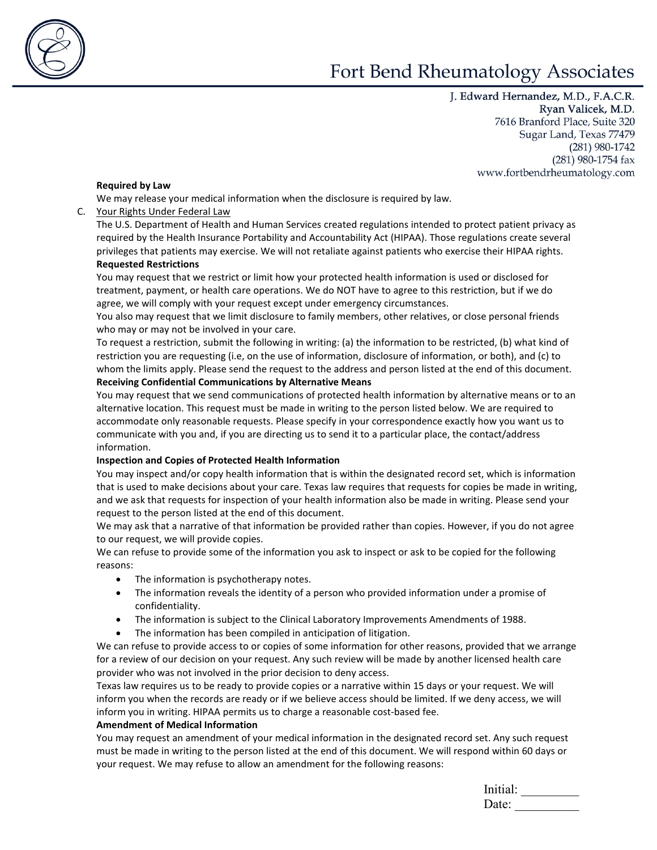

J. Edward Hernandez, M.D., F.A.C.R. Ryan Valicek, M.D. 7616 Branford Place, Suite 320 Sugar Land, Texas 77479 (281) 980-1742  $(281)$  980-1754 fax www.fortbendrheumatology.com

#### **Required by Law**

We may release your medical information when the disclosure is required by law.

## C. Your Rights Under Federal Law

The U.S. Department of Health and Human Services created regulations intended to protect patient privacy as required by the Health Insurance Portability and Accountability Act (HIPAA). Those regulations create several privileges that patients may exercise. We will not retaliate against patients who exercise their HIPAA rights. **Requested Restrictions**

You may request that we restrict or limit how your protected health information is used or disclosed for treatment, payment, or health care operations. We do NOT have to agree to this restriction, but if we do agree, we will comply with your request except under emergency circumstances.

You also may request that we limit disclosure to family members, other relatives, or close personal friends who may or may not be involved in your care.

To request a restriction, submit the following in writing: (a) the information to be restricted, (b) what kind of restriction you are requesting (i.e, on the use of information, disclosure of information, or both), and (c) to whom the limits apply. Please send the request to the address and person listed at the end of this document. **Receiving Confidential Communications by Alternative Means**

You may request that we send communications of protected health information by alternative means or to an alternative location. This request must be made in writing to the person listed below. We are required to accommodate only reasonable requests. Please specify in your correspondence exactly how you want us to communicate with you and, if you are directing us to send it to a particular place, the contact/address information.

## **Inspection and Copies of Protected Health Information**

You may inspect and/or copy health information that is within the designated record set, which is information that is used to make decisions about your care. Texas law requires that requests for copies be made in writing, and we ask that requests for inspection of your health information also be made in writing. Please send your request to the person listed at the end of this document.

We may ask that a narrative of that information be provided rather than copies. However, if you do not agree to our request, we will provide copies.

We can refuse to provide some of the information you ask to inspect or ask to be copied for the following reasons:

- The information is psychotherapy notes.
- The information reveals the identity of a person who provided information under a promise of confidentiality.
- The information is subject to the Clinical Laboratory Improvements Amendments of 1988.
- The information has been compiled in anticipation of litigation.

We can refuse to provide access to or copies of some information for other reasons, provided that we arrange for a review of our decision on your request. Any such review will be made by another licensed health care provider who was not involved in the prior decision to deny access.

Texas law requires us to be ready to provide copies or a narrative within 15 days or your request. We will inform you when the records are ready or if we believe access should be limited. If we deny access, we will inform you in writing. HIPAA permits us to charge a reasonable cost-based fee.

#### **Amendment of Medical Information**

You may request an amendment of your medical information in the designated record set. Any such request must be made in writing to the person listed at the end of this document. We will respond within 60 days or your request. We may refuse to allow an amendment for the following reasons:

| Initial: |  |
|----------|--|
| Date:    |  |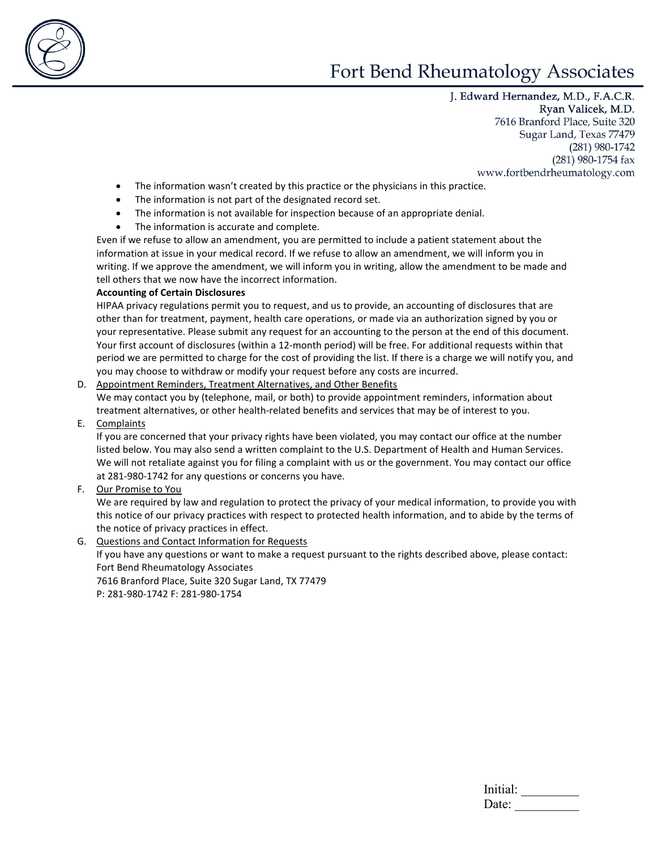

J. Edward Hernandez, M.D., F.A.C.R. Ryan Valicek, M.D. 7616 Branford Place, Suite 320 Sugar Land, Texas 77479 (281) 980-1742  $(281)$  980-1754 fax www.fortbendrheumatology.com

- The information wasn't created by this practice or the physicians in this practice.
- The information is not part of the designated record set.
- The information is not available for inspection because of an appropriate denial.
- The information is accurate and complete.

Even if we refuse to allow an amendment, you are permitted to include a patient statement about the information at issue in your medical record. If we refuse to allow an amendment, we will inform you in writing. If we approve the amendment, we will inform you in writing, allow the amendment to be made and tell others that we now have the incorrect information.

## **Accounting of Certain Disclosures**

HIPAA privacy regulations permit you to request, and us to provide, an accounting of disclosures that are other than for treatment, payment, health care operations, or made via an authorization signed by you or your representative. Please submit any request for an accounting to the person at the end of this document. Your first account of disclosures (within a 12-month period) will be free. For additional requests within that period we are permitted to charge for the cost of providing the list. If there is a charge we will notify you, and you may choose to withdraw or modify your request before any costs are incurred.

## D. Appointment Reminders, Treatment Alternatives, and Other Benefits

We may contact you by (telephone, mail, or both) to provide appointment reminders, information about treatment alternatives, or other health-related benefits and services that may be of interest to you.

E. Complaints

If you are concerned that your privacy rights have been violated, you may contact our office at the number listed below. You may also send a written complaint to the U.S. Department of Health and Human Services. We will not retaliate against you for filing a complaint with us or the government. You may contact our office at 281-980-1742 for any questions or concerns you have.

F. Our Promise to You

We are required by law and regulation to protect the privacy of your medical information, to provide you with this notice of our privacy practices with respect to protected health information, and to abide by the terms of the notice of privacy practices in effect.

G. Questions and Contact Information for Requests If you have any questions or want to make a request pursuant to the rights described above, please contact: Fort Bend Rheumatology Associates 7616 Branford Place, Suite 320 Sugar Land, TX 77479 P: 281-980-1742 F: 281-980-1754

| Initial: |  |  |
|----------|--|--|
| Date:    |  |  |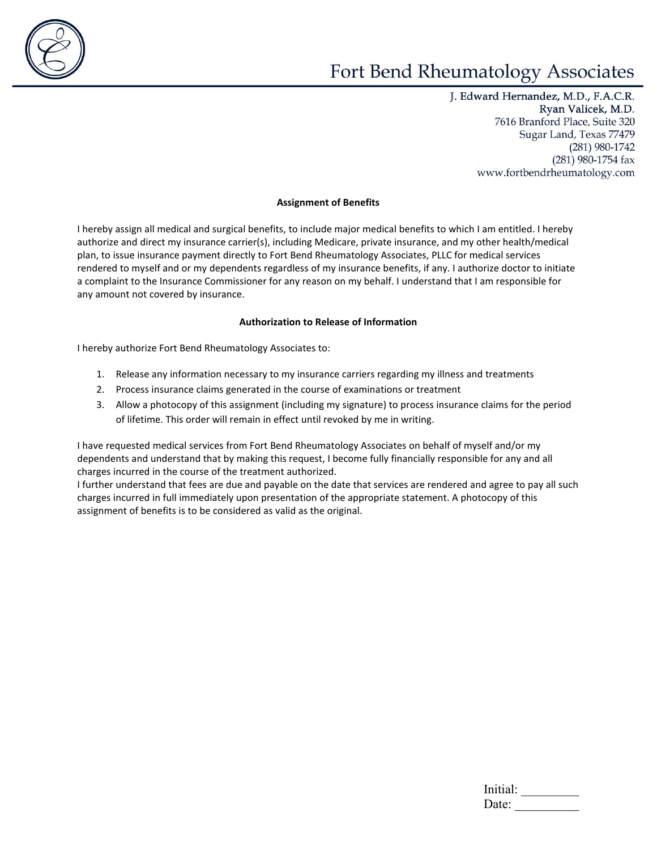

J. Edward Hernandez, M.D., F.A.C.R. Ryan Valicek, M.D. 7616 Branford Place, Suite 320 Sugar Land, Texas 77479 (281) 980-1742 (281) 980-1754 fax www.fortbendrheumatology.com

#### **Assignment of Benefits**

I hereby assign all medical and surgical benefits, to include major medical benefits to which I am entitled. I hereby authorize and direct my insurance carrier(s), including Medicare, private insurance, and my other health/medical plan, to issue insurance payment directly to Fort Bend Rheumatology Associates, PLLC for medical services rendered to myself and or my dependents regardless of my insurance benefits, if any. I authorize doctor to initiate a complaint to the Insurance Commissioner for any reason on my behalf. I understand that I am responsible for any amount not covered by insurance.

#### **Authorization to Release of Information**

I hereby authorize Fort Bend Rheumatology Associates to:

- 1. Release any information necessary to my insurance carriers regarding my illness and treatments
- 2. Process insurance claims generated in the course of examinations or treatment
- 3. Allow a photocopy of this assignment (including my signature) to process insurance claims for the period of lifetime. This order will remain in effect until revoked by me in writing.

I have requested medical services from Fort Bend Rheumatology Associates on behalf of myself and/or my dependents and understand that by making this request, I become fully financially responsible for any and all charges incurred in the course of the treatment authorized.

I further understand that fees are due and payable on the date that services are rendered and agree to pay all such charges incurred in full immediately upon presentation of the appropriate statement. A photocopy of this assignment of benefits is to be considered as valid as the original.

| Initial: |  |  |  |
|----------|--|--|--|
| Date:    |  |  |  |